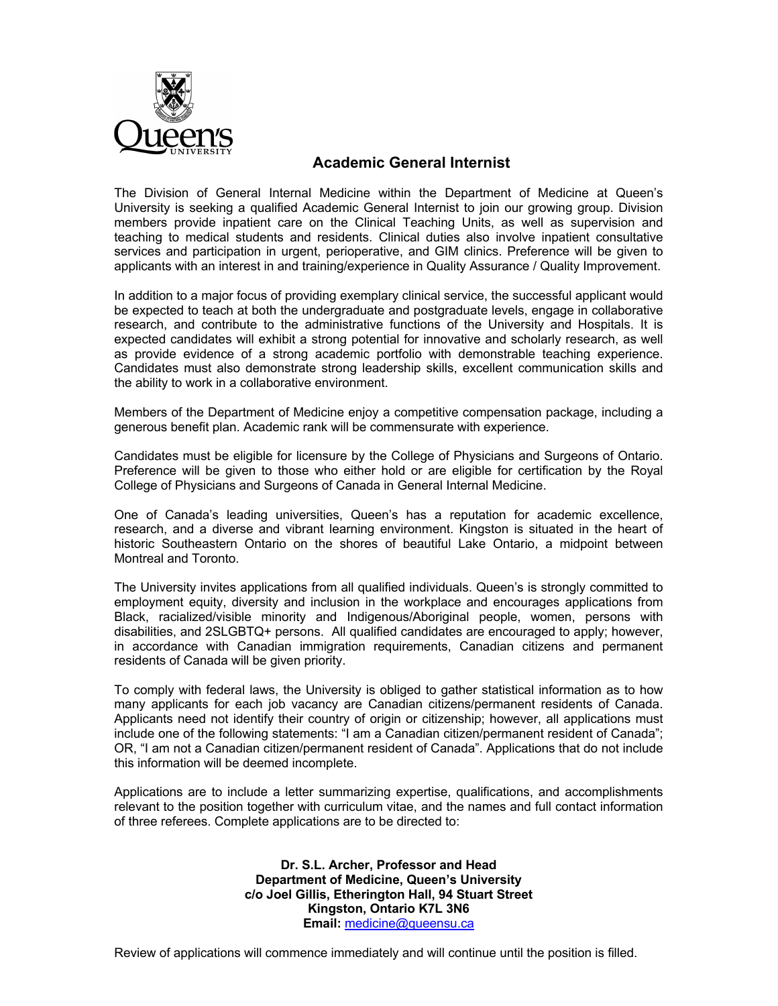

## **Academic General Internist**

The Division of General Internal Medicine within the Department of Medicine at Queen's University is seeking a qualified Academic General Internist to join our growing group. Division members provide inpatient care on the Clinical Teaching Units, as well as supervision and teaching to medical students and residents. Clinical duties also involve inpatient consultative services and participation in urgent, perioperative, and GIM clinics. Preference will be given to applicants with an interest in and training/experience in Quality Assurance / Quality Improvement.

In addition to a major focus of providing exemplary clinical service, the successful applicant would be expected to teach at both the undergraduate and postgraduate levels, engage in collaborative research, and contribute to the administrative functions of the University and Hospitals. It is expected candidates will exhibit a strong potential for innovative and scholarly research, as well as provide evidence of a strong academic portfolio with demonstrable teaching experience. Candidates must also demonstrate strong leadership skills, excellent communication skills and the ability to work in a collaborative environment.

Members of the Department of Medicine enjoy a competitive compensation package, including a generous benefit plan. Academic rank will be commensurate with experience.

Candidates must be eligible for licensure by the College of Physicians and Surgeons of Ontario. Preference will be given to those who either hold or are eligible for certification by the Royal College of Physicians and Surgeons of Canada in General Internal Medicine.

One of Canada's leading universities, Queen's has a reputation for academic excellence, research, and a diverse and vibrant learning environment. Kingston is situated in the heart of historic Southeastern Ontario on the shores of beautiful Lake Ontario, a midpoint between Montreal and Toronto.

The University invites applications from all qualified individuals. Queen's is strongly committed to employment equity, diversity and inclusion in the workplace and encourages applications from Black, racialized/visible minority and Indigenous/Aboriginal people, women, persons with disabilities, and 2SLGBTQ+ persons. All qualified candidates are encouraged to apply; however, in accordance with Canadian immigration requirements, Canadian citizens and permanent residents of Canada will be given priority.

To comply with federal laws, the University is obliged to gather statistical information as to how many applicants for each job vacancy are Canadian citizens/permanent residents of Canada. Applicants need not identify their country of origin or citizenship; however, all applications must include one of the following statements: "I am a Canadian citizen/permanent resident of Canada"; OR, "I am not a Canadian citizen/permanent resident of Canada". Applications that do not include this information will be deemed incomplete.

Applications are to include a letter summarizing expertise, qualifications, and accomplishments relevant to the position together with curriculum vitae, and the names and full contact information of three referees. Complete applications are to be directed to:

> **Dr. S.L. Archer, Professor and Head Department of Medicine, Queen's University c/o Joel Gillis, Etherington Hall, 94 Stuart Street Kingston, Ontario K7L 3N6 Email:** medicine@queensu.ca